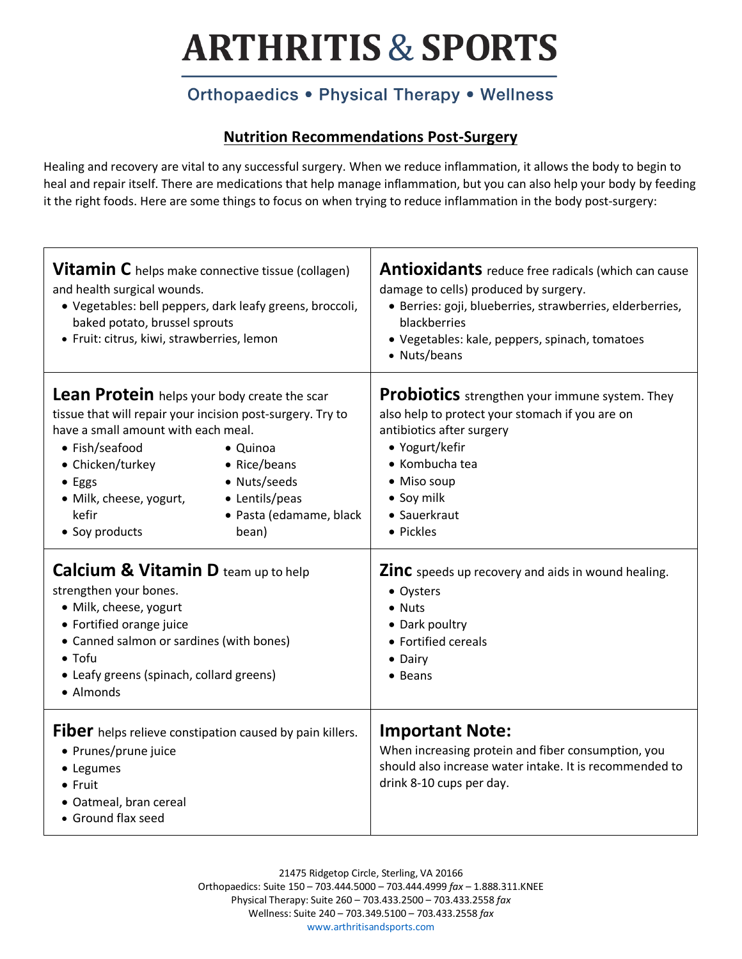## **ARTHRITIS & SPORTS**

### Orthopaedics . Physical Therapy . Wellness

#### **Nutrition Recommendations Post-Surgery**

Healing and recovery are vital to any successful surgery. When we reduce inflammation, it allows the body to begin to heal and repair itself. There are medications that help manage inflammation, but you can also help your body by feeding it the right foods. Here are some things to focus on when trying to reduce inflammation in the body post-surgery:

| <b>Vitamin C</b> helps make connective tissue (collagen)<br>and health surgical wounds.<br>· Vegetables: bell peppers, dark leafy greens, broccoli,<br>baked potato, brussel sprouts<br>· Fruit: citrus, kiwi, strawberries, lemon                                                                                                                                                                                                                                                                                                                                                                                 | <b>Antioxidants</b> reduce free radicals (which can cause<br>damage to cells) produced by surgery.<br>· Berries: goji, blueberries, strawberries, elderberries,<br>blackberries<br>· Vegetables: kale, peppers, spinach, tomatoes<br>• Nuts/beans                                                                                                                                              |  |  |
|--------------------------------------------------------------------------------------------------------------------------------------------------------------------------------------------------------------------------------------------------------------------------------------------------------------------------------------------------------------------------------------------------------------------------------------------------------------------------------------------------------------------------------------------------------------------------------------------------------------------|------------------------------------------------------------------------------------------------------------------------------------------------------------------------------------------------------------------------------------------------------------------------------------------------------------------------------------------------------------------------------------------------|--|--|
| Lean Protein helps your body create the scar<br>tissue that will repair your incision post-surgery. Try to<br>have a small amount with each meal.<br>• Fish/seafood<br>• Quinoa<br>• Chicken/turkey<br>• Rice/beans<br>• Nuts/seeds<br>• Eggs<br>• Lentils/peas<br>· Milk, cheese, yogurt,<br>kefir<br>· Pasta (edamame, black<br>• Soy products<br>bean)<br><b>Calcium &amp; Vitamin D team up to help</b><br>strengthen your bones.<br>· Milk, cheese, yogurt<br>• Fortified orange juice<br>• Canned salmon or sardines (with bones)<br>$\bullet$ Tofu<br>• Leafy greens (spinach, collard greens)<br>• Almonds | <b>Probiotics</b> strengthen your immune system. They<br>also help to protect your stomach if you are on<br>antibiotics after surgery<br>• Yogurt/kefir<br>• Kombucha tea<br>• Miso soup<br>• Soy milk<br>• Sauerkraut<br>• Pickles<br><b>Zinc</b> speeds up recovery and aids in wound healing.<br>• Oysters<br>• Nuts<br>• Dark poultry<br>• Fortified cereals<br>• Dairy<br>$\bullet$ Beans |  |  |
| Fiber helps relieve constipation caused by pain killers.<br>• Prunes/prune juice<br>• Legumes<br>• Fruit<br>· Oatmeal, bran cereal<br>• Ground flax seed                                                                                                                                                                                                                                                                                                                                                                                                                                                           | <b>Important Note:</b><br>When increasing protein and fiber consumption, you<br>should also increase water intake. It is recommended to<br>drink 8-10 cups per day.                                                                                                                                                                                                                            |  |  |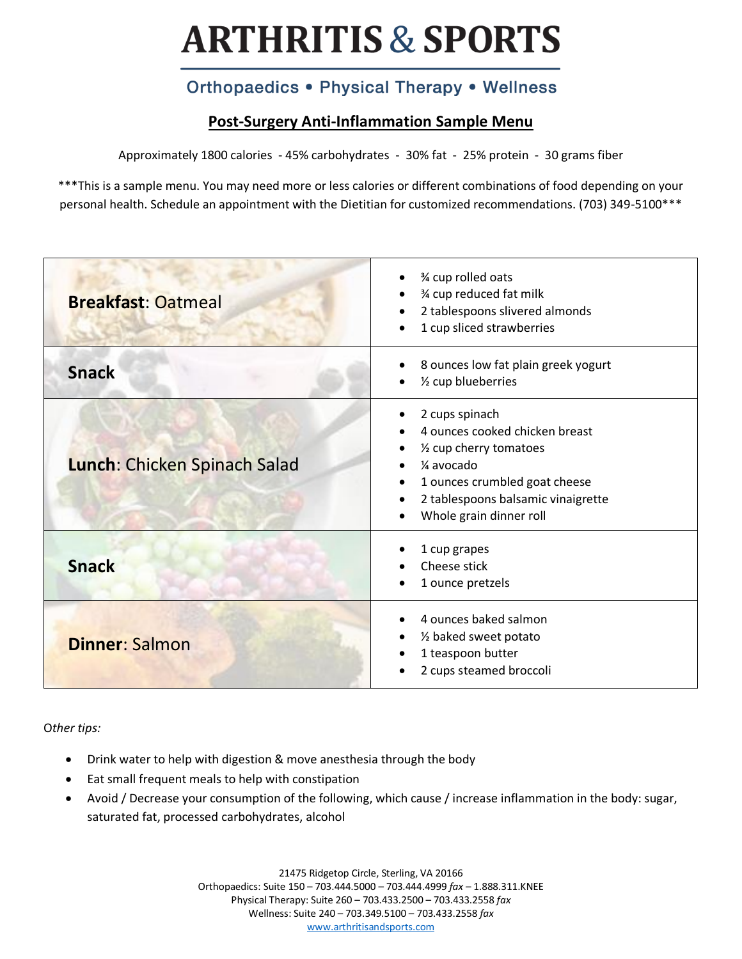# **ARTHRITIS & SPORTS**

### Orthopaedics . Physical Therapy . Wellness

#### **Post-Surgery Anti-Inflammation Sample Menu**

Approximately 1800 calories - 45% carbohydrates - 30% fat - 25% protein - 30 grams fiber

\*\*\*This is a sample menu. You may need more or less calories or different combinations of food depending on your personal health. Schedule an appointment with the Dietitian for customized recommendations. (703) 349-5100\*\*\*

| <b>Breakfast: Oatmeal</b>    | 3⁄4 cup rolled oats<br>% cup reduced fat milk<br>2 tablespoons slivered almonds<br>1 cup sliced strawberries                                                                                 |  |  |
|------------------------------|----------------------------------------------------------------------------------------------------------------------------------------------------------------------------------------------|--|--|
| <b>Snack</b>                 | 8 ounces low fat plain greek yogurt<br>1/2 cup blueberries                                                                                                                                   |  |  |
| Lunch: Chicken Spinach Salad | 2 cups spinach<br>4 ounces cooked chicken breast<br>1/2 cup cherry tomatoes<br>1⁄4 avocado<br>1 ounces crumbled goat cheese<br>2 tablespoons balsamic vinaigrette<br>Whole grain dinner roll |  |  |
| <b>Snack</b>                 | 1 cup grapes<br>Cheese stick<br>1 ounce pretzels                                                                                                                                             |  |  |
| <b>Dinner: Salmon</b>        | 4 ounces baked salmon<br>1/2 baked sweet potato<br>1 teaspoon butter<br>2 cups steamed broccoli                                                                                              |  |  |

O*ther tips:*

- Drink water to help with digestion & move anesthesia through the body
- Eat small frequent meals to help with constipation
- Avoid / Decrease your consumption of the following, which cause / increase inflammation in the body: sugar, saturated fat, processed carbohydrates, alcohol